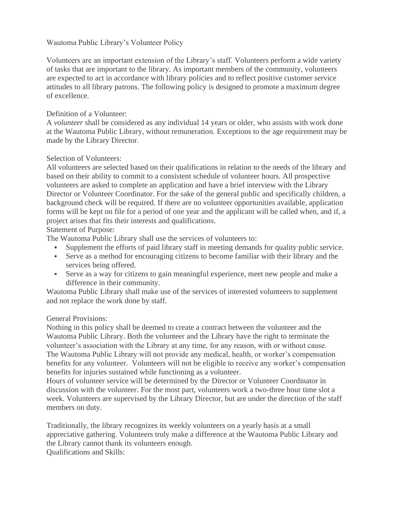## Wautoma Public Library's Volunteer Policy

Volunteers are an important extension of the Library's staff. Volunteers perform a wide variety of tasks that are important to the library. As important members of the community, volunteers are expected to act in accordance with library policies and to reflect positive customer service attitudes to all library patrons. The following policy is designed to promote a maximum degree of excellence.

## Definition of a Volunteer:

A *volunteer* shall be considered as any individual 14 years or older, who assists with work done at the Wautoma Public Library, without remuneration. Exceptions to the age requirement may be made by the Library Director.

## Selection of Volunteers:

All volunteers are selected based on their qualifications in relation to the needs of the library and based on their ability to commit to a consistent schedule of volunteer hours. All prospective volunteers are asked to complete an application and have a brief interview with the Library Director or Volunteer Coordinator. For the sake of the general public and specifically children, a background check will be required. If there are no volunteer opportunities available, application forms will be kept on file for a period of one year and the applicant will be called when, and if, a project arises that fits their interests and qualifications.

Statement of Purpose:

The Wautoma Public Library shall use the services of volunteers to:

- Supplement the efforts of paid library staff in meeting demands for quality public service.
- Serve as a method for encouraging citizens to become familiar with their library and the services being offered.
- Serve as a way for citizens to gain meaningful experience, meet new people and make a difference in their community.

Wautoma Public Library shall make use of the services of interested volunteers to supplement and not replace the work done by staff.

## General Provisions:

Nothing in this policy shall be deemed to create a contract between the volunteer and the Wautoma Public Library. Both the volunteer and the Library have the right to terminate the volunteer's association with the Library at any time, for any reason, with or without cause. The Wautoma Public Library will not provide any medical, health, or worker's compensation benefits for any volunteer. Volunteers will not be eligible to receive any worker's compensation benefits for injuries sustained while functioning as a volunteer.

Hours of volunteer service will be determined by the Director or Volunteer Coordinator in discussion with the volunteer. For the most part, volunteers work a two-three hour time slot a week. Volunteers are supervised by the Library Director, but are under the direction of the staff members on duty.

Traditionally, the library recognizes its weekly volunteers on a yearly basis at a small appreciative gathering. Volunteers truly make a difference at the Wautoma Public Library and the Library cannot thank its volunteers enough. Qualifications and Skills: